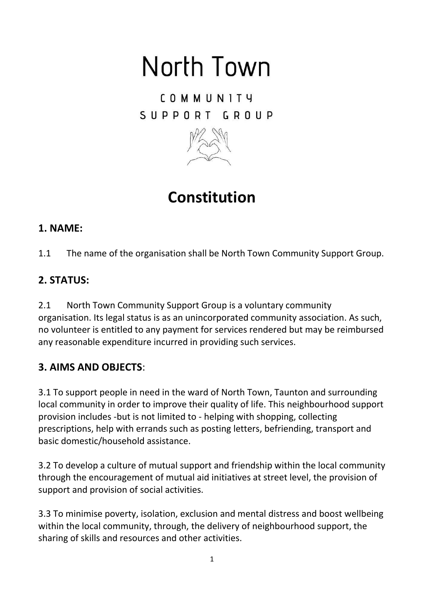# North Town

COMMUNITY SUPPORT GROUP



**Constitution** 

### **1. NAME:**

1.1 The name of the organisation shall be North Town Community Support Group.

## **2. STATUS:**

2.1 North Town Community Support Group is a voluntary community organisation. Its legal status is as an unincorporated community association. As such, no volunteer is entitled to any payment for services rendered but may be reimbursed any reasonable expenditure incurred in providing such services.

## **3. AIMS AND OBJECTS**:

3.1 To support people in need in the ward of North Town, Taunton and surrounding local community in order to improve their quality of life. This neighbourhood support provision includes -but is not limited to - helping with shopping, collecting prescriptions, help with errands such as posting letters, befriending, transport and basic domestic/household assistance.

3.2 To develop a culture of mutual support and friendship within the local community through the encouragement of mutual aid initiatives at street level, the provision of support and provision of social activities.

3.3 To minimise poverty, isolation, exclusion and mental distress and boost wellbeing within the local community, through, the delivery of neighbourhood support, the sharing of skills and resources and other activities.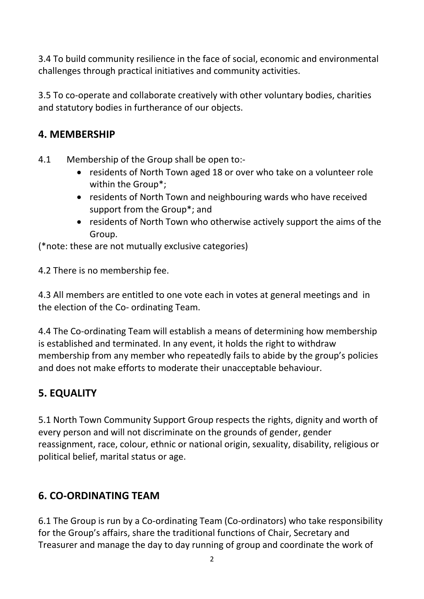3.4 To build community resilience in the face of social, economic and environmental challenges through practical initiatives and community activities.

3.5 To co-operate and collaborate creatively with other voluntary bodies, charities and statutory bodies in furtherance of our objects.

#### **4. MEMBERSHIP**

- 4.1 Membership of the Group shall be open to:-
	- residents of North Town aged 18 or over who take on a volunteer role within the Group\*;
	- residents of North Town and neighbouring wards who have received support from the Group\*; and
	- residents of North Town who otherwise actively support the aims of the Group.

(\*note: these are not mutually exclusive categories)

4.2 There is no membership fee.

4.3 All members are entitled to one vote each in votes at general meetings and in the election of the Co- ordinating Team.

4.4 The Co-ordinating Team will establish a means of determining how membership is established and terminated. In any event, it holds the right to withdraw membership from any member who repeatedly fails to abide by the group's policies and does not make efforts to moderate their unacceptable behaviour.

### **5. EQUALITY**

5.1 North Town Community Support Group respects the rights, dignity and worth of every person and will not discriminate on the grounds of gender, gender reassignment, race, colour, ethnic or national origin, sexuality, disability, religious or political belief, marital status or age.

### **6. CO-ORDINATING TEAM**

6.1 The Group is run by a Co-ordinating Team (Co-ordinators) who take responsibility for the Group's affairs, share the traditional functions of Chair, Secretary and Treasurer and manage the day to day running of group and coordinate the work of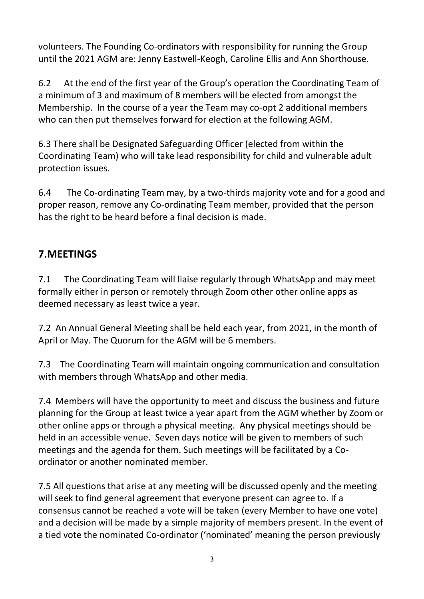volunteers. The Founding Co-ordinators with responsibility for running the Group until the 2021 AGM are: Jenny Eastwell-Keogh, Caroline Ellis and Ann Shorthouse.

6.2 At the end of the first year of the Group's operation the Coordinating Team of a minimum of 3 and maximum of 8 members will be elected from amongst the Membership. In the course of a year the Team may co-opt 2 additional members who can then put themselves forward for election at the following AGM.

6.3 There shall be Designated Safeguarding Officer (elected from within the Coordinating Team) who will take lead responsibility for child and vulnerable adult protection issues.

6.4 The Co-ordinating Team may, by a two-thirds majority vote and for a good and proper reason, remove any Co-ordinating Team member, provided that the person has the right to be heard before a final decision is made.

#### **7.MEETINGS**

7.1 The Coordinating Team will liaise regularly through WhatsApp and may meet formally either in person or remotely through Zoom other other online apps as deemed necessary as least twice a year.

7.2 An Annual General Meeting shall be held each year, from 2021, in the month of April or May. The Quorum for the AGM will be 6 members.

7.3 The Coordinating Team will maintain ongoing communication and consultation with members through WhatsApp and other media.

7.4 Members will have the opportunity to meet and discuss the business and future planning for the Group at least twice a year apart from the AGM whether by Zoom or other online apps or through a physical meeting. Any physical meetings should be held in an accessible venue. Seven days notice will be given to members of such meetings and the agenda for them. Such meetings will be facilitated by a Coordinator or another nominated member.

7.5 All questions that arise at any meeting will be discussed openly and the meeting will seek to find general agreement that everyone present can agree to. If a consensus cannot be reached a vote will be taken (every Member to have one vote) and a decision will be made by a simple majority of members present. In the event of a tied vote the nominated Co-ordinator ('nominated' meaning the person previously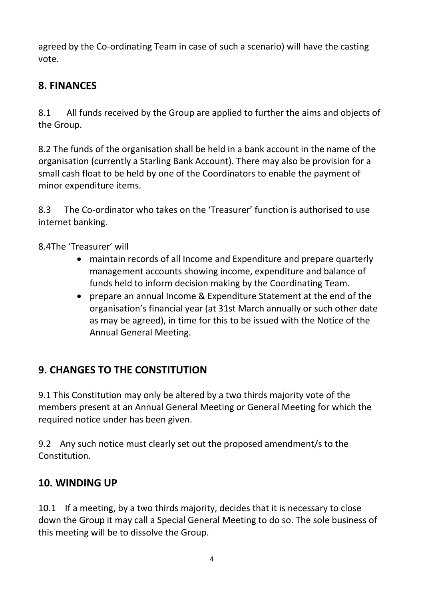agreed by the Co-ordinating Team in case of such a scenario) will have the casting vote.

## **8. FINANCES**

8.1 All funds received by the Group are applied to further the aims and objects of the Group.

8.2 The funds of the organisation shall be held in a bank account in the name of the organisation (currently a Starling Bank Account). There may also be provision for a small cash float to be held by one of the Coordinators to enable the payment of minor expenditure items.

8.3 The Co-ordinator who takes on the 'Treasurer' function is authorised to use internet banking.

8.4The 'Treasurer' will

- maintain records of all Income and Expenditure and prepare quarterly management accounts showing income, expenditure and balance of funds held to inform decision making by the Coordinating Team.
- prepare an annual Income & Expenditure Statement at the end of the organisation's financial year (at 31st March annually or such other date as may be agreed), in time for this to be issued with the Notice of the Annual General Meeting.

## **9. CHANGES TO THE CONSTITUTION**

9.1 This Constitution may only be altered by a two thirds majority vote of the members present at an Annual General Meeting or General Meeting for which the required notice under has been given.

9.2 Any such notice must clearly set out the proposed amendment/s to the Constitution.

### **10. WINDING UP**

10.1 If a meeting, by a two thirds majority, decides that it is necessary to close down the Group it may call a Special General Meeting to do so. The sole business of this meeting will be to dissolve the Group.